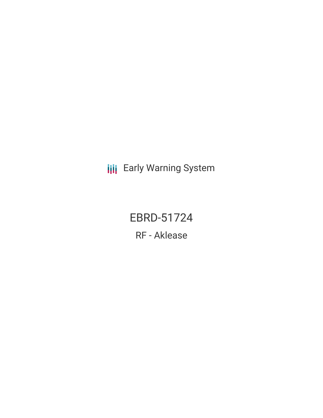**III** Early Warning System

EBRD-51724 RF - Aklease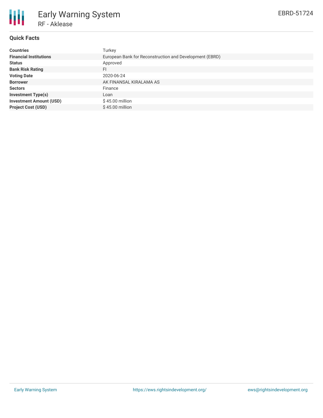

# **Quick Facts**

| <b>Countries</b>               | Turkey                                                  |
|--------------------------------|---------------------------------------------------------|
| <b>Financial Institutions</b>  | European Bank for Reconstruction and Development (EBRD) |
| <b>Status</b>                  | Approved                                                |
| <b>Bank Risk Rating</b>        | FI                                                      |
| <b>Voting Date</b>             | 2020-06-24                                              |
| <b>Borrower</b>                | AK FINANSAL KIRALAMA AS                                 |
| <b>Sectors</b>                 | Finance                                                 |
| <b>Investment Type(s)</b>      | Loan                                                    |
| <b>Investment Amount (USD)</b> | $$45.00$ million                                        |
| <b>Project Cost (USD)</b>      | $$45.00$ million                                        |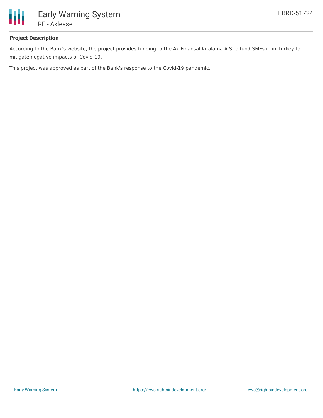

## **Project Description**

According to the Bank's website, the project provides funding to the Ak Finansal Kiralama A.S to fund SMEs in in Turkey to mitigate negative impacts of Covid-19.

This project was approved as part of the Bank's response to the Covid-19 pandemic.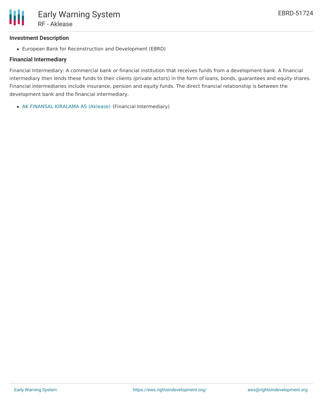### **Investment Description**

European Bank for Reconstruction and Development (EBRD)

### **Financial Intermediary**

Financial Intermediary: A commercial bank or financial institution that receives funds from a development bank. A financial intermediary then lends these funds to their clients (private actors) in the form of loans, bonds, guarantees and equity shares. Financial intermediaries include insurance, pension and equity funds. The direct financial relationship is between the development bank and the financial intermediary.

AK FINANSAL [KIRALAMA](file:///actor/3282/) AS (Aklease) (Financial Intermediary)